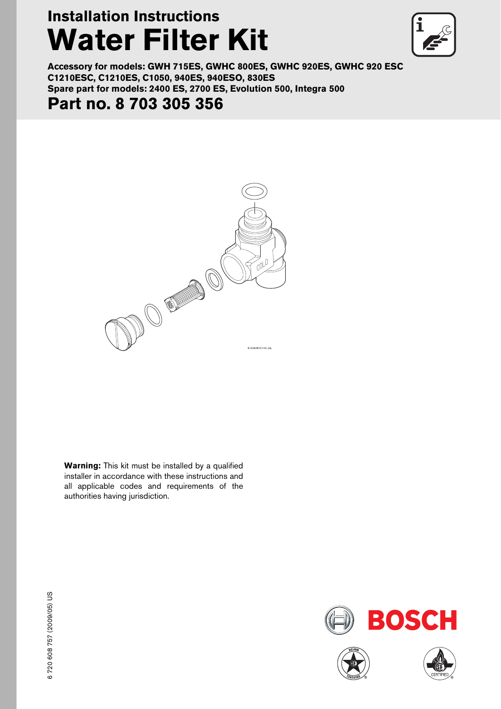# **Installation Instructions Water Filter Kit**



**Accessory for models: GWH 715ES, GWHC 800ES, GWHC 920ES, GWHC 920 ESC C1210ESC, C1210ES, C1050, 940ES, 940ESO, 830ES Spare part for models: 2400 ES, 2700 ES, Evolution 500, Integra 500**

## **Part no. 8 703 305 356**



**Warning:** This kit must be installed by a qualified installer in accordance with these instructions and all applicable codes and requirements of the authorities having jurisdiction.





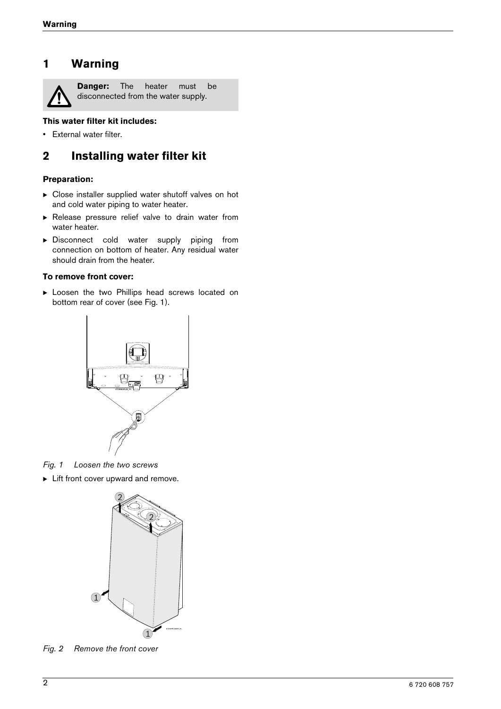### **1 Warning**



**Danger:** The heater must be disconnected from the water supply.

#### **This water filter kit includes:**

• External water filter.

## **2 Installing water filter kit**

#### **Preparation:**

- $\triangleright$  Close installer supplied water shutoff valves on hot and cold water piping to water heater.
- $\triangleright$  Release pressure relief valve to drain water from water heater.
- $\triangleright$  Disconnect cold water supply piping from connection on bottom of heater. Any residual water should drain from the heater.

#### **To remove front cover:**

**Exercise Loosen the two Phillips head screws located on** bottom rear of cover (see Fig. [1](#page-1-0)).



<span id="page-1-0"></span>*Fig. 1 Loosen the two screws*

 $\blacktriangleright$  Lift front cover upward and remove.



*Fig. 2 Remove the front cover*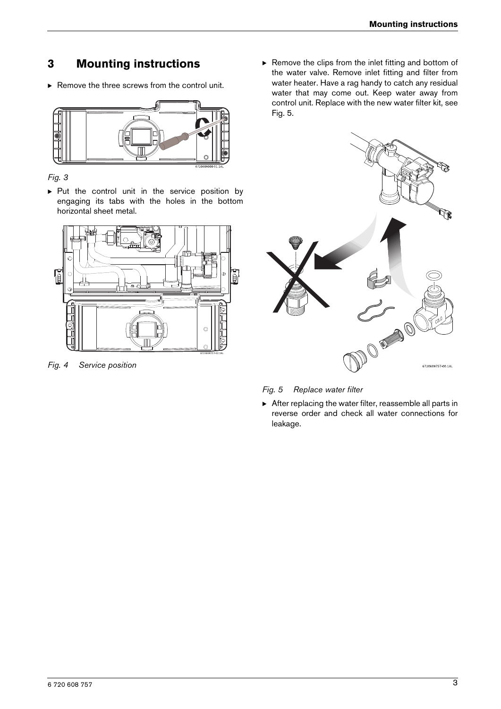## **3 Mounting instructions**

 $\blacktriangleright$  Remove the three screws from the control unit.



*Fig. 3*

 $\triangleright$  Put the control unit in the service position by engaging its tabs with the holes in the bottom horizontal sheet metal.



*Fig. 4 Service position*

 $\blacktriangleright$  Remove the clips from the inlet fitting and bottom of the water valve. Remove inlet fitting and filter from water heater. Have a rag handy to catch any residual water that may come out. Keep water away from control unit. Replace with the new water filter kit, see [Fig. 5](#page-2-0).



<span id="page-2-0"></span>*Fig. 5 Replace water filter*

 $\triangleright$  After replacing the water filter, reassemble all parts in reverse order and check all water connections for leakage.